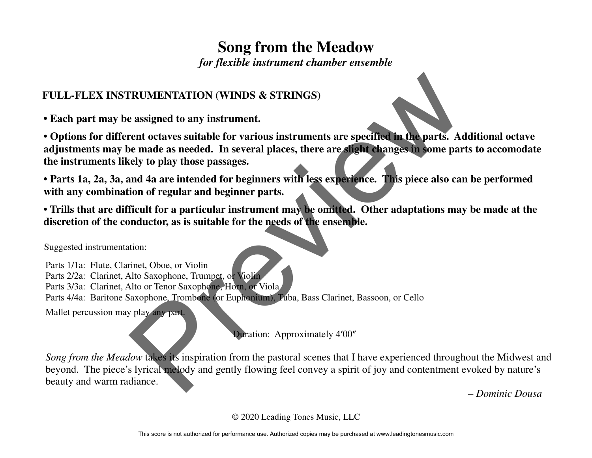## **Song from the Meadow**

*for flexible instrument chamber ensemble*

## **FULL-FLEX INSTRUMENTATION (WINDS & STRINGS)**

**• Each part may be assigned to any instrument.**

**• Options for different octaves suitable for various instruments are specified in the parts. Additional octave adjustments may be made as needed. In several places, there are slight changes in some parts to accomodatethe instruments likely to play those passages.**

**• Parts 1a, 2a, 3a, and 4a are intended for beginners with less experience. This piece also can be performedwith any combination of regular and beginner parts.**

**• Trills that are difficult for a particular instrument may be omitted. Other adaptations may be made at thediscretion of the conductor, as is suitable for the needs of the ensemble.**

Suggested instrumentation:

Parts 1/1a: Flute, Clarinet, Oboe, or Violin

Parts 2/2a: Clarinet, Alto Saxophone, Trumpet, or Violin

Parts 3/3a: Clarinet, Alto or Tenor Saxophone, Horn, or Viola

Parts 4/4a: Baritone Saxophone, Trombone (or Euphonium), Tuba, Bass Clarinet, Bassoon, or Cello

Mallet percussion may play any part.

Duration: Approximately 4'00"

*Song from the Meadow* takes its inspiration from the pastoral scenes that I have experienced throughout the Midwest and beyond. The piece's lyrical melody and gently flowing feel convey a spirit of joy and contentment evoked by nature's beauty and warm radiance. TRUMENTATION (WINDS & STRINGS)<br>
e assigned to any instrument.<br>
rent octaves suitable for various instruments are specified in the parts. Ad<br>
e made as needed. In several places, there are slight changes in some part<br>
rely

*– Dominic Dousa*

© 2020 Leading Tones Music, LLC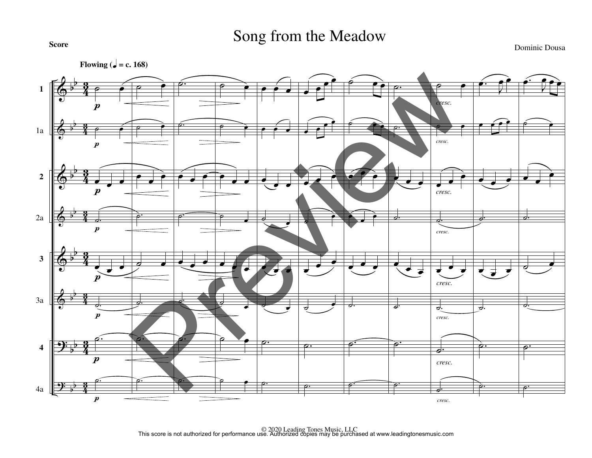## Song from the Meadow

Dominic Dousa



**Score**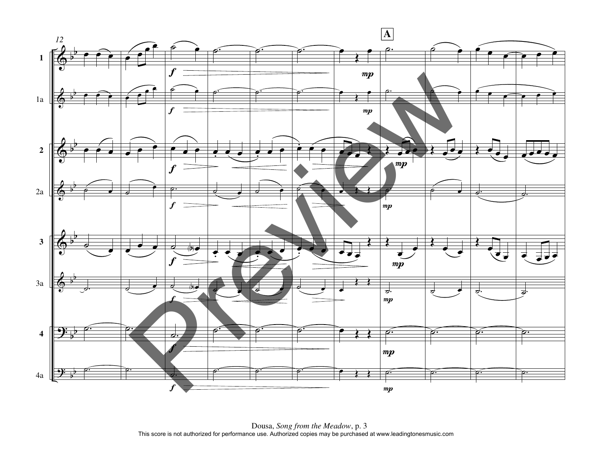

Dousa, *Song from the Meadow*, p. 3 This score is not authorized for performance use. Authorized copies may be purchased at www.leadingtonesmusic.com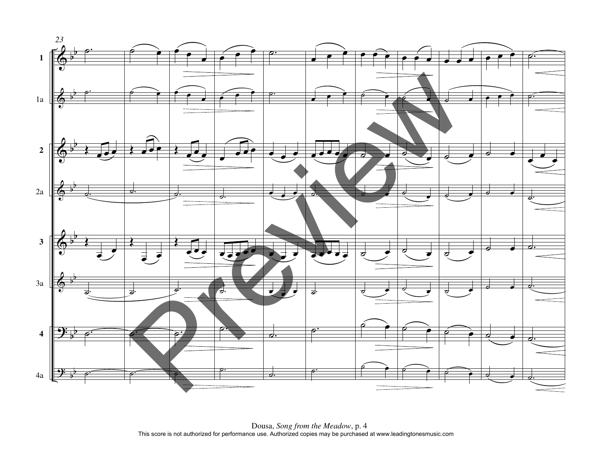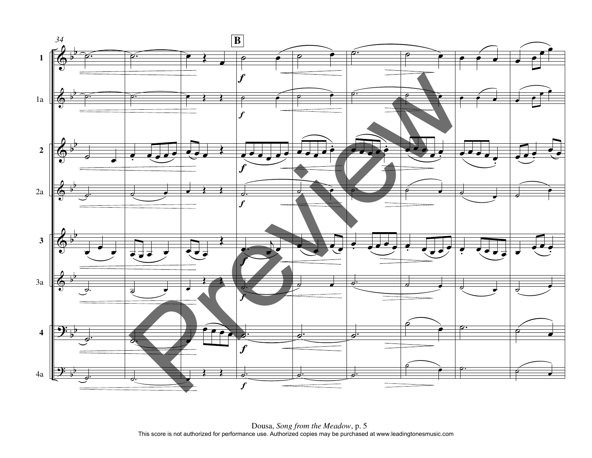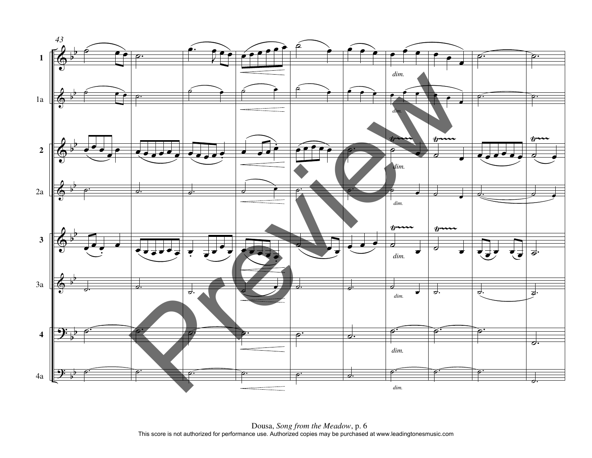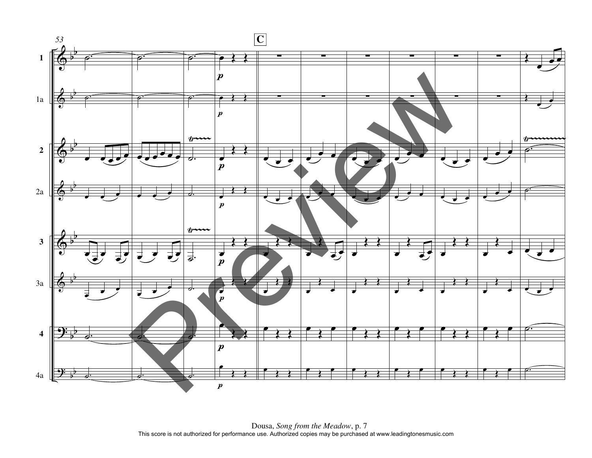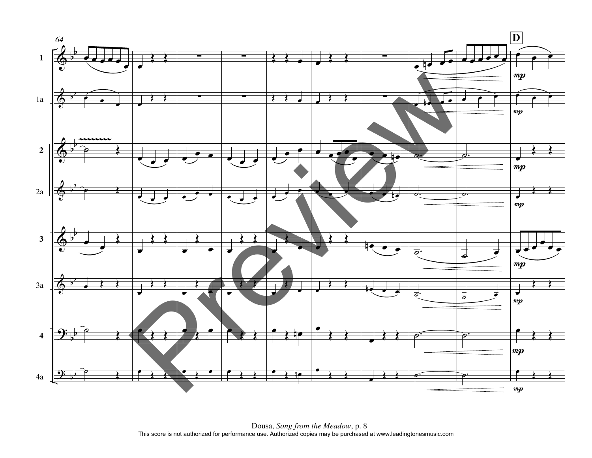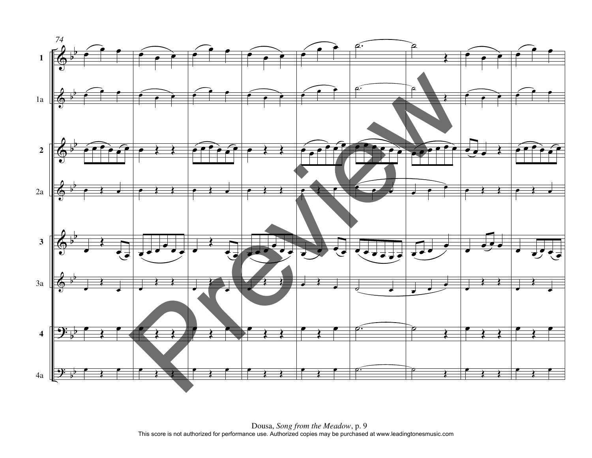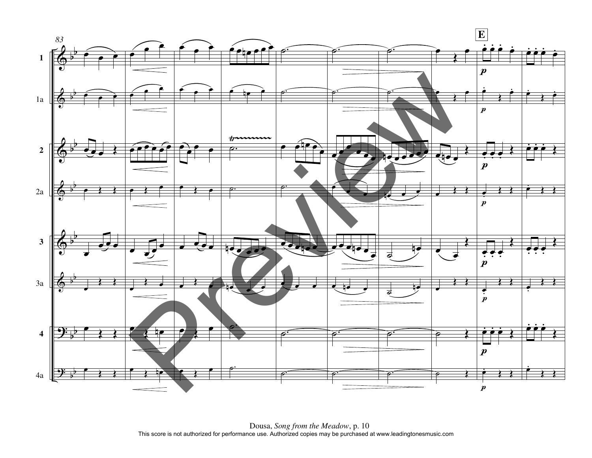

Dousa, *Song from the Meadow*, p. 10 This score is not authorized for performance use. Authorized copies may be purchased at www.leadingtonesmusic.com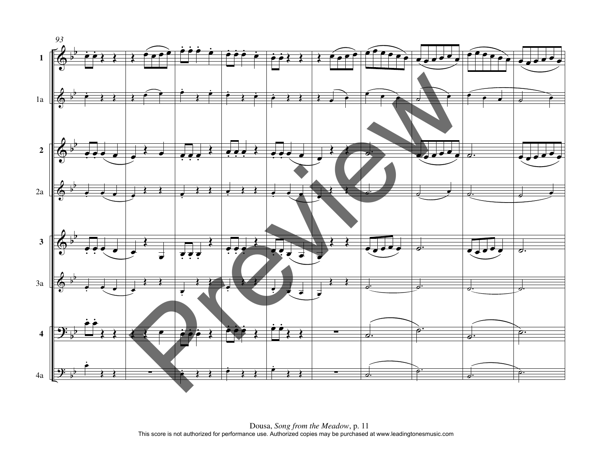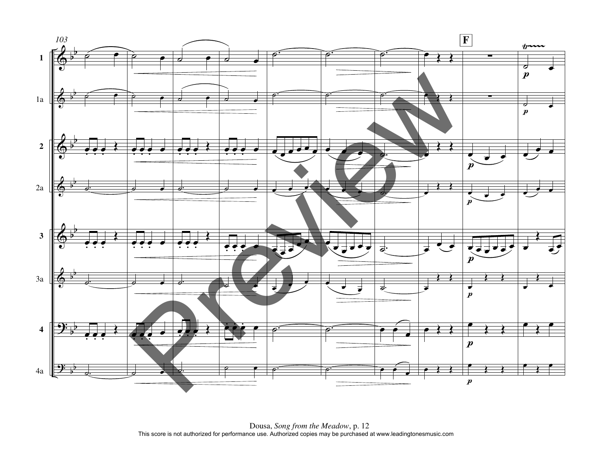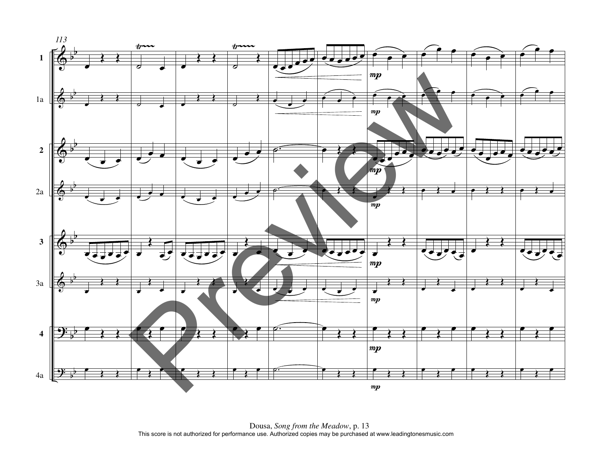

Dousa, *Song from the Meadow*, p. 13 This score is not authorized for performance use. Authorized copies may be purchased at www.leadingtonesmusic.com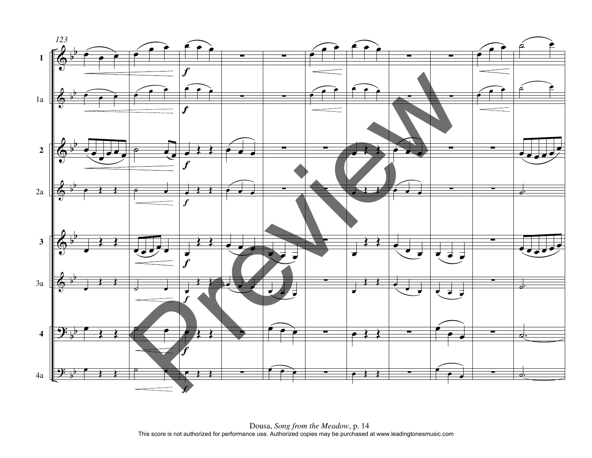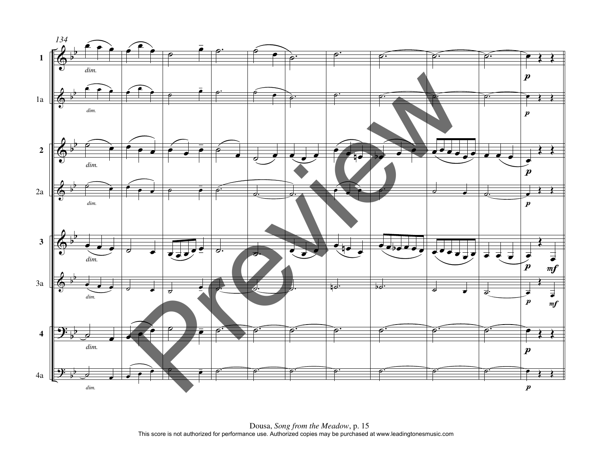

Dousa, *Song from the Meadow*, p. 15 This score is not authorized for performance use. Authorized copies may be purchased at www.leadingtonesmusic.com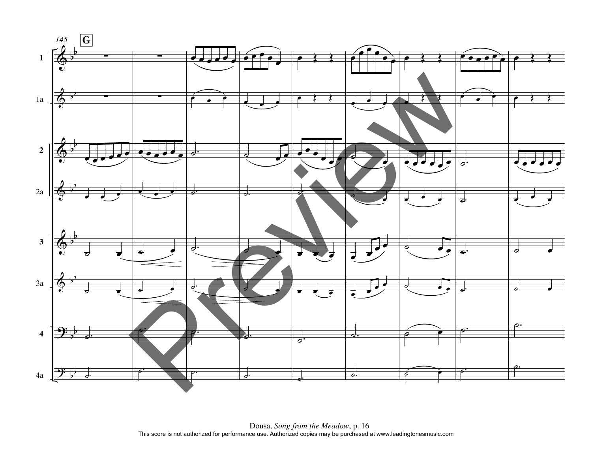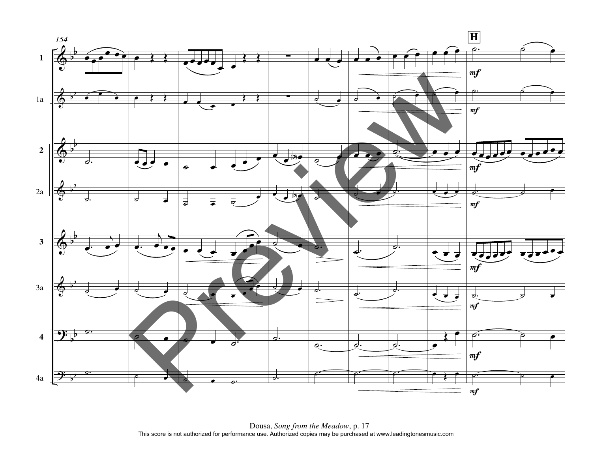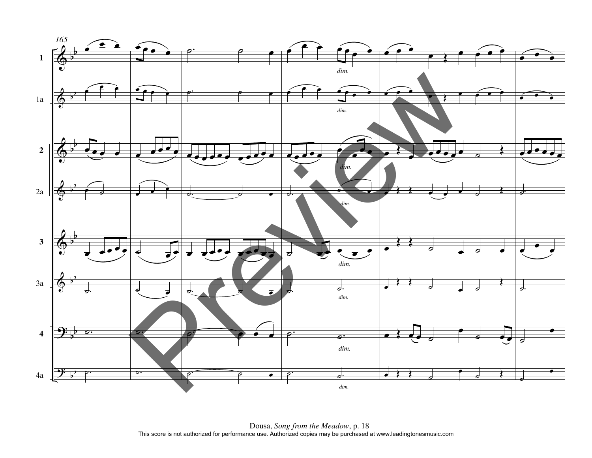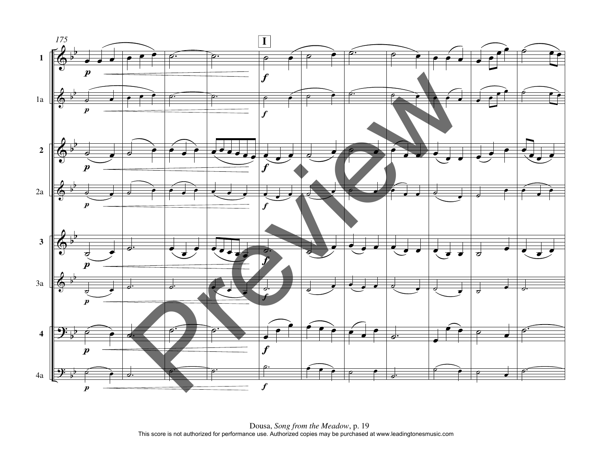

Dousa, *Song from the Meadow*, p. 19 This score is not authorized for performance use. Authorized copies may be purchased at www.leadingtonesmusic.com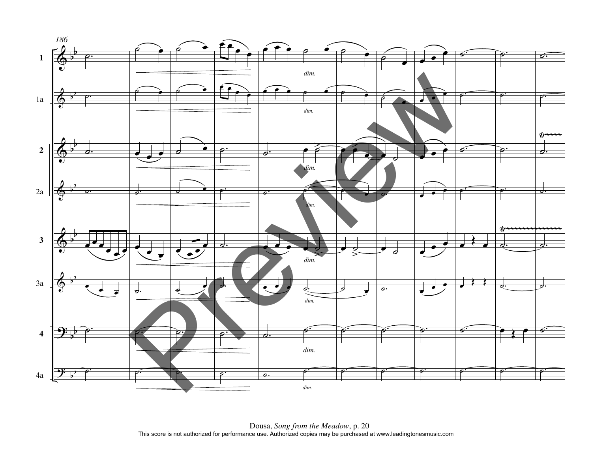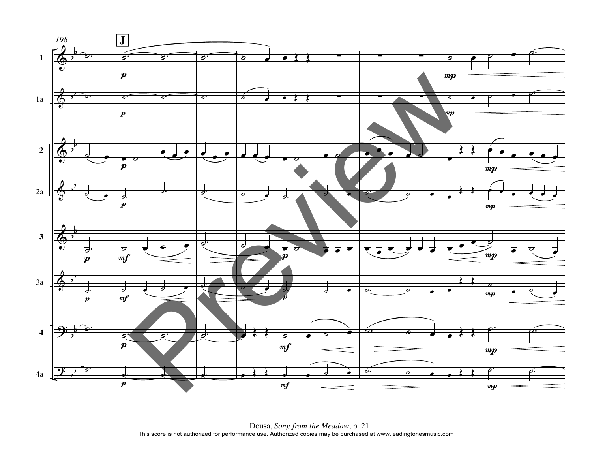